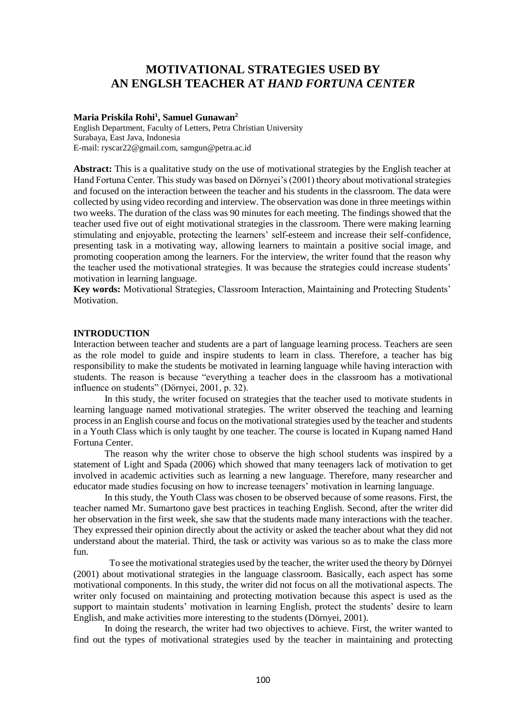# **MOTIVATIONAL STRATEGIES USED BY AN ENGLSH TEACHER AT** *HAND FORTUNA CENTER*

# **Maria Priskila Rohi<sup>1</sup> , Samuel Gunawan<sup>2</sup>**

English Department, Faculty of Letters, Petra Christian University Surabaya, East Java, Indonesia E-mail: ryscar22@gmail.com, samgun@petra.ac.id

**Abstract:** This is a qualitative study on the use of motivational strategies by the English teacher at Hand Fortuna Center. This study was based on Dörnyei's (2001) theory about motivational strategies and focused on the interaction between the teacher and his students in the classroom. The data were collected by using video recording and interview. The observation was done in three meetings within two weeks. The duration of the class was 90 minutes for each meeting. The findings showed that the teacher used five out of eight motivational strategies in the classroom. There were making learning stimulating and enjoyable, protecting the learners' self-esteem and increase their self-confidence, presenting task in a motivating way, allowing learners to maintain a positive social image, and promoting cooperation among the learners. For the interview, the writer found that the reason why the teacher used the motivational strategies. It was because the strategies could increase students' motivation in learning language.

**Key words:** Motivational Strategies, Classroom Interaction, Maintaining and Protecting Students' Motivation.

# **INTRODUCTION**

Interaction between teacher and students are a part of language learning process. Teachers are seen as the role model to guide and inspire students to learn in class. Therefore, a teacher has big responsibility to make the students be motivated in learning language while having interaction with students. The reason is because "everything a teacher does in the classroom has a motivational influence on students" (Dörnyei, 2001, p. 32).

In this study, the writer focused on strategies that the teacher used to motivate students in learning language named motivational strategies. The writer observed the teaching and learning process in an English course and focus on the motivational strategies used by the teacher and students in a Youth Class which is only taught by one teacher. The course is located in Kupang named Hand Fortuna Center.

The reason why the writer chose to observe the high school students was inspired by a statement of Light and Spada (2006) which showed that many teenagers lack of motivation to get involved in academic activities such as learning a new language. Therefore, many researcher and educator made studies focusing on how to increase teenagers' motivation in learning language.

In this study, the Youth Class was chosen to be observed because of some reasons. First, the teacher named Mr. Sumartono gave best practices in teaching English. Second, after the writer did her observation in the first week, she saw that the students made many interactions with the teacher. They expressed their opinion directly about the activity or asked the teacher about what they did not understand about the material. Third, the task or activity was various so as to make the class more fun.

 To see the motivational strategies used by the teacher, the writer used the theory by Dörnyei (2001) about motivational strategies in the language classroom. Basically, each aspect has some motivational components. In this study, the writer did not focus on all the motivational aspects. The writer only focused on maintaining and protecting motivation because this aspect is used as the support to maintain students' motivation in learning English, protect the students' desire to learn English, and make activities more interesting to the students (Dörnyei, 2001).

In doing the research, the writer had two objectives to achieve. First, the writer wanted to find out the types of motivational strategies used by the teacher in maintaining and protecting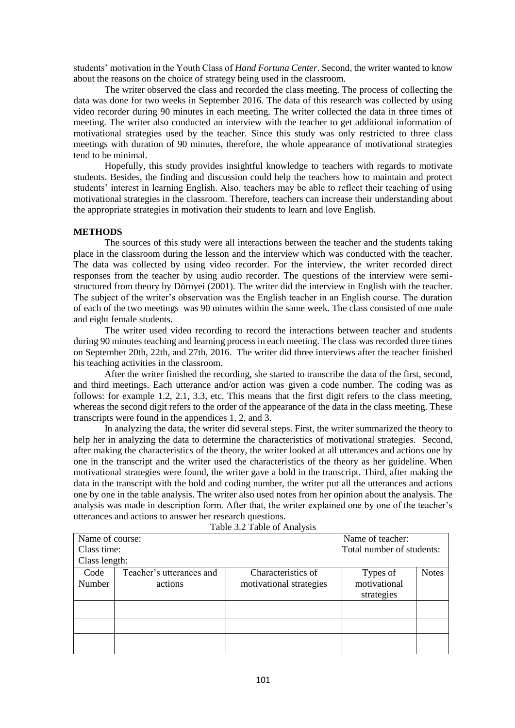students' motivation in the Youth Class of *Hand Fortuna Center*. Second, the writer wanted to know about the reasons on the choice of strategy being used in the classroom.

The writer observed the class and recorded the class meeting. The process of collecting the data was done for two weeks in September 2016. The data of this research was collected by using video recorder during 90 minutes in each meeting. The writer collected the data in three times of meeting. The writer also conducted an interview with the teacher to get additional information of motivational strategies used by the teacher. Since this study was only restricted to three class meetings with duration of 90 minutes, therefore, the whole appearance of motivational strategies tend to be minimal.

Hopefully, this study provides insightful knowledge to teachers with regards to motivate students. Besides, the finding and discussion could help the teachers how to maintain and protect students' interest in learning English. Also, teachers may be able to reflect their teaching of using motivational strategies in the classroom. Therefore, teachers can increase their understanding about the appropriate strategies in motivation their students to learn and love English.

## **METHODS**

The sources of this study were all interactions between the teacher and the students taking place in the classroom during the lesson and the interview which was conducted with the teacher. The data was collected by using video recorder. For the interview, the writer recorded direct responses from the teacher by using audio recorder. The questions of the interview were semistructured from theory by Dörnyei (2001). The writer did the interview in English with the teacher. The subject of the writer's observation was the English teacher in an English course. The duration of each of the two meetings was 90 minutes within the same week. The class consisted of one male and eight female students.

The writer used video recording to record the interactions between teacher and students during 90 minutes teaching and learning process in each meeting. The class was recorded three times on September 20th, 22th, and 27th, 2016. The writer did three interviews after the teacher finished his teaching activities in the classroom.

After the writer finished the recording, she started to transcribe the data of the first, second, and third meetings. Each utterance and/or action was given a code number. The coding was as follows: for example 1.2, 2.1, 3.3, etc. This means that the first digit refers to the class meeting, whereas the second digit refers to the order of the appearance of the data in the class meeting. These transcripts were found in the appendices 1, 2, and 3.

In analyzing the data, the writer did several steps. First, the writer summarized the theory to help her in analyzing the data to determine the characteristics of motivational strategies. Second, after making the characteristics of the theory, the writer looked at all utterances and actions one by one in the transcript and the writer used the characteristics of the theory as her guideline. When motivational strategies were found, the writer gave a bold in the transcript. Third, after making the data in the transcript with the bold and coding number, the writer put all the utterances and actions one by one in the table analysis. The writer also used notes from her opinion about the analysis. The analysis was made in description form. After that, the writer explained one by one of the teacher's utterances and actions to answer her research questions.

| rable 5.2 rable of Analysis |                          |                         |                           |              |
|-----------------------------|--------------------------|-------------------------|---------------------------|--------------|
| Name of course:             |                          |                         | Name of teacher:          |              |
| Class time:                 |                          |                         | Total number of students: |              |
| Class length:               |                          |                         |                           |              |
| Code                        | Teacher's utterances and | Characteristics of      | Types of                  | <b>Notes</b> |
| Number                      | actions                  | motivational strategies | motivational              |              |
|                             |                          |                         | strategies                |              |
|                             |                          |                         |                           |              |
|                             |                          |                         |                           |              |
|                             |                          |                         |                           |              |
|                             |                          |                         |                           |              |
|                             |                          |                         |                           |              |

Table 3.2 Table of Analysis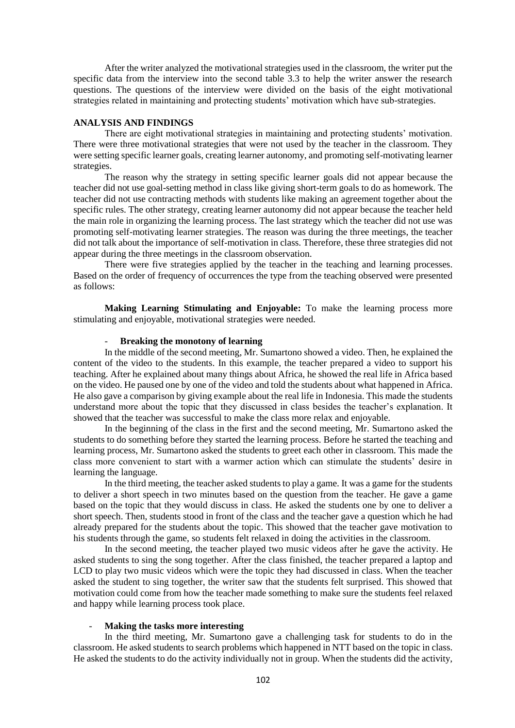After the writer analyzed the motivational strategies used in the classroom, the writer put the specific data from the interview into the second table 3.3 to help the writer answer the research questions. The questions of the interview were divided on the basis of the eight motivational strategies related in maintaining and protecting students' motivation which have sub-strategies.

# **ANALYSIS AND FINDINGS**

There are eight motivational strategies in maintaining and protecting students' motivation. There were three motivational strategies that were not used by the teacher in the classroom. They were setting specific learner goals, creating learner autonomy, and promoting self-motivating learner strategies.

The reason why the strategy in setting specific learner goals did not appear because the teacher did not use goal-setting method in class like giving short-term goals to do as homework. The teacher did not use contracting methods with students like making an agreement together about the specific rules. The other strategy, creating learner autonomy did not appear because the teacher held the main role in organizing the learning process. The last strategy which the teacher did not use was promoting self-motivating learner strategies. The reason was during the three meetings, the teacher did not talk about the importance of self-motivation in class. Therefore, these three strategies did not appear during the three meetings in the classroom observation.

There were five strategies applied by the teacher in the teaching and learning processes. Based on the order of frequency of occurrences the type from the teaching observed were presented as follows:

**Making Learning Stimulating and Enjoyable:** To make the learning process more stimulating and enjoyable, motivational strategies were needed.

#### - **Breaking the monotony of learning**

In the middle of the second meeting, Mr. Sumartono showed a video. Then, he explained the content of the video to the students. In this example, the teacher prepared a video to support his teaching. After he explained about many things about Africa, he showed the real life in Africa based on the video. He paused one by one of the video and told the students about what happened in Africa. He also gave a comparison by giving example about the real life in Indonesia. This made the students understand more about the topic that they discussed in class besides the teacher's explanation. It showed that the teacher was successful to make the class more relax and enjoyable.

In the beginning of the class in the first and the second meeting, Mr. Sumartono asked the students to do something before they started the learning process. Before he started the teaching and learning process, Mr. Sumartono asked the students to greet each other in classroom. This made the class more convenient to start with a warmer action which can stimulate the students' desire in learning the language.

In the third meeting, the teacher asked students to play a game. It was a game for the students to deliver a short speech in two minutes based on the question from the teacher. He gave a game based on the topic that they would discuss in class. He asked the students one by one to deliver a short speech. Then, students stood in front of the class and the teacher gave a question which he had already prepared for the students about the topic. This showed that the teacher gave motivation to his students through the game, so students felt relaxed in doing the activities in the classroom.

In the second meeting, the teacher played two music videos after he gave the activity. He asked students to sing the song together. After the class finished, the teacher prepared a laptop and LCD to play two music videos which were the topic they had discussed in class. When the teacher asked the student to sing together, the writer saw that the students felt surprised. This showed that motivation could come from how the teacher made something to make sure the students feel relaxed and happy while learning process took place.

#### - **Making the tasks more interesting**

In the third meeting, Mr. Sumartono gave a challenging task for students to do in the classroom. He asked students to search problems which happened in NTT based on the topic in class. He asked the students to do the activity individually not in group. When the students did the activity,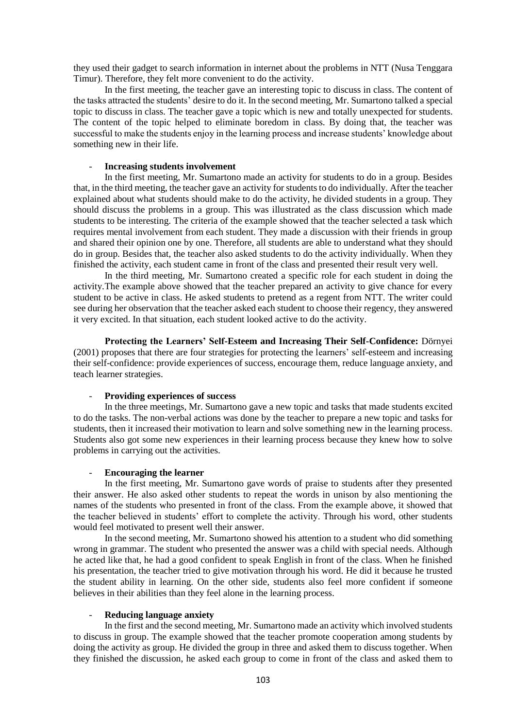they used their gadget to search information in internet about the problems in NTT (Nusa Tenggara Timur). Therefore, they felt more convenient to do the activity.

In the first meeting, the teacher gave an interesting topic to discuss in class. The content of the tasks attracted the students' desire to do it. In the second meeting, Mr. Sumartono talked a special topic to discuss in class. The teacher gave a topic which is new and totally unexpected for students. The content of the topic helped to eliminate boredom in class. By doing that, the teacher was successful to make the students enjoy in the learning process and increase students' knowledge about something new in their life.

# - **Increasing students involvement**

In the first meeting, Mr. Sumartono made an activity for students to do in a group. Besides that, in the third meeting, the teacher gave an activity for students to do individually. After the teacher explained about what students should make to do the activity, he divided students in a group. They should discuss the problems in a group. This was illustrated as the class discussion which made students to be interesting. The criteria of the example showed that the teacher selected a task which requires mental involvement from each student. They made a discussion with their friends in group and shared their opinion one by one. Therefore, all students are able to understand what they should do in group. Besides that, the teacher also asked students to do the activity individually. When they finished the activity, each student came in front of the class and presented their result very well.

In the third meeting, Mr. Sumartono created a specific role for each student in doing the activity.The example above showed that the teacher prepared an activity to give chance for every student to be active in class. He asked students to pretend as a regent from NTT. The writer could see during her observation that the teacher asked each student to choose their regency, they answered it very excited. In that situation, each student looked active to do the activity.

**Protecting the Learners' Self-Esteem and Increasing Their Self-Confidence:** Dörnyei (2001) proposes that there are four strategies for protecting the learners' self-esteem and increasing their self-confidence: provide experiences of success, encourage them, reduce language anxiety, and teach learner strategies.

#### - **Providing experiences of success**

In the three meetings, Mr. Sumartono gave a new topic and tasks that made students excited to do the tasks. The non-verbal actions was done by the teacher to prepare a new topic and tasks for students, then it increased their motivation to learn and solve something new in the learning process. Students also got some new experiences in their learning process because they knew how to solve problems in carrying out the activities.

#### - **Encouraging the learner**

In the first meeting, Mr. Sumartono gave words of praise to students after they presented their answer. He also asked other students to repeat the words in unison by also mentioning the names of the students who presented in front of the class. From the example above, it showed that the teacher believed in students' effort to complete the activity. Through his word, other students would feel motivated to present well their answer.

In the second meeting, Mr. Sumartono showed his attention to a student who did something wrong in grammar. The student who presented the answer was a child with special needs. Although he acted like that, he had a good confident to speak English in front of the class. When he finished his presentation, the teacher tried to give motivation through his word. He did it because he trusted the student ability in learning. On the other side, students also feel more confident if someone believes in their abilities than they feel alone in the learning process.

## - **Reducing language anxiety**

In the first and the second meeting, Mr. Sumartono made an activity which involved students to discuss in group. The example showed that the teacher promote cooperation among students by doing the activity as group. He divided the group in three and asked them to discuss together. When they finished the discussion, he asked each group to come in front of the class and asked them to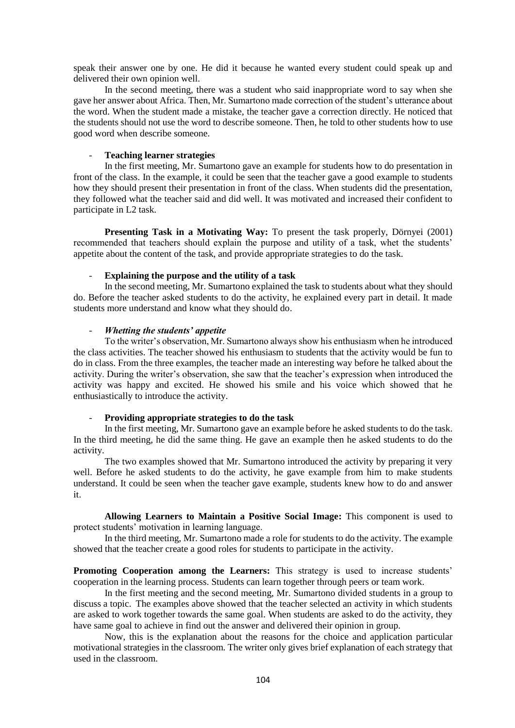speak their answer one by one. He did it because he wanted every student could speak up and delivered their own opinion well.

In the second meeting, there was a student who said inappropriate word to say when she gave her answer about Africa. Then, Mr. Sumartono made correction of the student's utterance about the word. When the student made a mistake, the teacher gave a correction directly. He noticed that the students should not use the word to describe someone. Then, he told to other students how to use good word when describe someone.

# - **Teaching learner strategies**

In the first meeting, Mr. Sumartono gave an example for students how to do presentation in front of the class. In the example, it could be seen that the teacher gave a good example to students how they should present their presentation in front of the class. When students did the presentation, they followed what the teacher said and did well. It was motivated and increased their confident to participate in L2 task.

**Presenting Task in a Motivating Way:** To present the task properly, Dörnyei (2001) recommended that teachers should explain the purpose and utility of a task, whet the students' appetite about the content of the task, and provide appropriate strategies to do the task.

#### - **Explaining the purpose and the utility of a task**

In the second meeting, Mr. Sumartono explained the task to students about what they should do. Before the teacher asked students to do the activity, he explained every part in detail. It made students more understand and know what they should do.

## - *Whetting the students' appetite*

To the writer's observation, Mr. Sumartono always show his enthusiasm when he introduced the class activities. The teacher showed his enthusiasm to students that the activity would be fun to do in class. From the three examples, the teacher made an interesting way before he talked about the activity. During the writer's observation, she saw that the teacher's expression when introduced the activity was happy and excited. He showed his smile and his voice which showed that he enthusiastically to introduce the activity.

## - **Providing appropriate strategies to do the task**

In the first meeting, Mr. Sumartono gave an example before he asked students to do the task. In the third meeting, he did the same thing. He gave an example then he asked students to do the activity.

The two examples showed that Mr. Sumartono introduced the activity by preparing it very well. Before he asked students to do the activity, he gave example from him to make students understand. It could be seen when the teacher gave example, students knew how to do and answer it.

**Allowing Learners to Maintain a Positive Social Image:** This component is used to protect students' motivation in learning language.

In the third meeting, Mr. Sumartono made a role for students to do the activity. The example showed that the teacher create a good roles for students to participate in the activity.

**Promoting Cooperation among the Learners:** This strategy is used to increase students' cooperation in the learning process. Students can learn together through peers or team work.

In the first meeting and the second meeting, Mr. Sumartono divided students in a group to discuss a topic. The examples above showed that the teacher selected an activity in which students are asked to work together towards the same goal. When students are asked to do the activity, they have same goal to achieve in find out the answer and delivered their opinion in group.

Now, this is the explanation about the reasons for the choice and application particular motivational strategies in the classroom. The writer only gives brief explanation of each strategy that used in the classroom.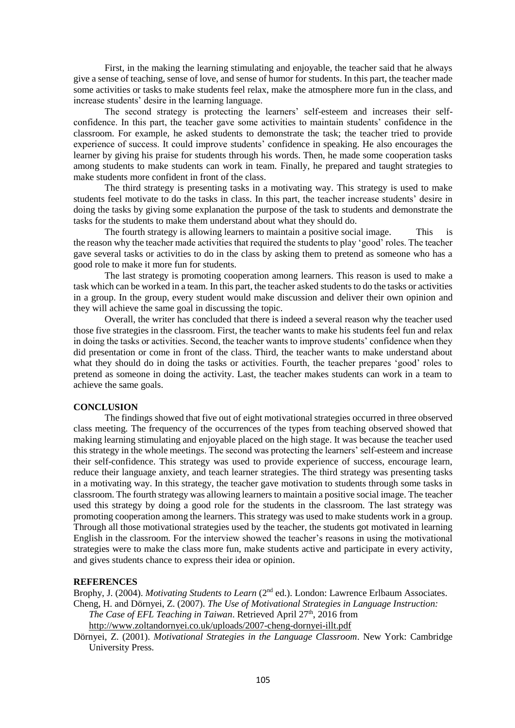First, in the making the learning stimulating and enjoyable, the teacher said that he always give a sense of teaching, sense of love, and sense of humor for students. In this part, the teacher made some activities or tasks to make students feel relax, make the atmosphere more fun in the class, and increase students' desire in the learning language.

The second strategy is protecting the learners' self-esteem and increases their selfconfidence. In this part, the teacher gave some activities to maintain students' confidence in the classroom. For example, he asked students to demonstrate the task; the teacher tried to provide experience of success. It could improve students' confidence in speaking. He also encourages the learner by giving his praise for students through his words. Then, he made some cooperation tasks among students to make students can work in team. Finally, he prepared and taught strategies to make students more confident in front of the class.

The third strategy is presenting tasks in a motivating way. This strategy is used to make students feel motivate to do the tasks in class. In this part, the teacher increase students' desire in doing the tasks by giving some explanation the purpose of the task to students and demonstrate the tasks for the students to make them understand about what they should do.

The fourth strategy is allowing learners to maintain a positive social image. This is the reason why the teacher made activities that required the students to play 'good' roles. The teacher gave several tasks or activities to do in the class by asking them to pretend as someone who has a good role to make it more fun for students.

The last strategy is promoting cooperation among learners. This reason is used to make a task which can be worked in a team. In this part, the teacher asked students to do the tasks or activities in a group. In the group, every student would make discussion and deliver their own opinion and they will achieve the same goal in discussing the topic.

Overall, the writer has concluded that there is indeed a several reason why the teacher used those five strategies in the classroom. First, the teacher wants to make his students feel fun and relax in doing the tasks or activities. Second, the teacher wants to improve students' confidence when they did presentation or come in front of the class. Third, the teacher wants to make understand about what they should do in doing the tasks or activities. Fourth, the teacher prepares 'good' roles to pretend as someone in doing the activity. Last, the teacher makes students can work in a team to achieve the same goals.

## **CONCLUSION**

The findings showed that five out of eight motivational strategies occurred in three observed class meeting. The frequency of the occurrences of the types from teaching observed showed that making learning stimulating and enjoyable placed on the high stage. It was because the teacher used this strategy in the whole meetings. The second was protecting the learners' self-esteem and increase their self-confidence. This strategy was used to provide experience of success, encourage learn, reduce their language anxiety, and teach learner strategies. The third strategy was presenting tasks in a motivating way. In this strategy, the teacher gave motivation to students through some tasks in classroom. The fourth strategy was allowing learners to maintain a positive social image. The teacher used this strategy by doing a good role for the students in the classroom. The last strategy was promoting cooperation among the learners. This strategy was used to make students work in a group. Through all those motivational strategies used by the teacher, the students got motivated in learning English in the classroom. For the interview showed the teacher's reasons in using the motivational strategies were to make the class more fun, make students active and participate in every activity, and gives students chance to express their idea or opinion.

#### **REFERENCES**

Brophy, J. (2004). *Motivating Students to Learn* (2<sup>nd</sup> ed.). London: Lawrence Erlbaum Associates. Cheng, H. and Dörnyei, Z. (2007). *The Use of Motivational Strategies in Language Instruction:* 

*The Case of EFL Teaching in Taiwan*. Retrieved April 27<sup>th</sup>, 2016 from

<http://www.zoltandornyei.co.uk/uploads/2007-cheng-dornyei-illt.pdf>

Dörnyei, Z. (2001). *Motivational Strategies in the Language Classroom*. New York: Cambridge University Press.